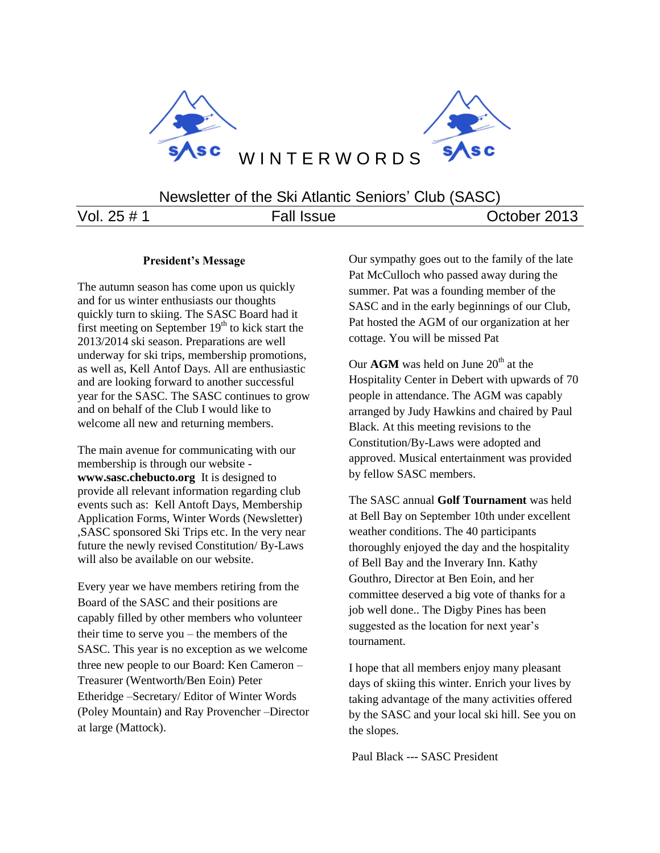

Newsletter of the Ski Atlantic Seniors' Club (SASC)

Vol. 25 # 1 Fall Issue Corober 2013

#### **President's Message**

The autumn season has come upon us quickly and for us winter enthusiasts our thoughts quickly turn to skiing. The SASC Board had it first meeting on September  $19<sup>th</sup>$  to kick start the 2013/2014 ski season. Preparations are well underway for ski trips, membership promotions, as well as, Kell Antof Days. All are enthusiastic and are looking forward to another successful year for the SASC. The SASC continues to grow and on behalf of the Club I would like to welcome all new and returning members.

The main avenue for communicating with our membership is through our website **www.sasc.chebucto.org** It is designed to provide all relevant information regarding club events such as: Kell Antoft Days, Membership Application Forms, Winter Words (Newsletter) ,SASC sponsored Ski Trips etc. In the very near future the newly revised Constitution/ By-Laws will also be available on our website.

Every year we have members retiring from the Board of the SASC and their positions are capably filled by other members who volunteer their time to serve you – the members of the SASC. This year is no exception as we welcome three new people to our Board: Ken Cameron – Treasurer (Wentworth/Ben Eoin) Peter Etheridge –Secretary/ Editor of Winter Words (Poley Mountain) and Ray Provencher –Director at large (Mattock).

Our sympathy goes out to the family of the late Pat McCulloch who passed away during the summer. Pat was a founding member of the SASC and in the early beginnings of our Club, Pat hosted the AGM of our organization at her cottage. You will be missed Pat

Our  $AGM$  was held on June  $20<sup>th</sup>$  at the Hospitality Center in Debert with upwards of 70 people in attendance. The AGM was capably arranged by Judy Hawkins and chaired by Paul Black. At this meeting revisions to the Constitution/By-Laws were adopted and approved. Musical entertainment was provided by fellow SASC members.

The SASC annual **Golf Tournament** was held at Bell Bay on September 10th under excellent weather conditions. The 40 participants thoroughly enjoyed the day and the hospitality of Bell Bay and the Inverary Inn. Kathy Gouthro, Director at Ben Eoin, and her committee deserved a big vote of thanks for a job well done.. The Digby Pines has been suggested as the location for next year's tournament.

I hope that all members enjoy many pleasant days of skiing this winter. Enrich your lives by taking advantage of the many activities offered by the SASC and your local ski hill. See you on the slopes.

Paul Black --- SASC President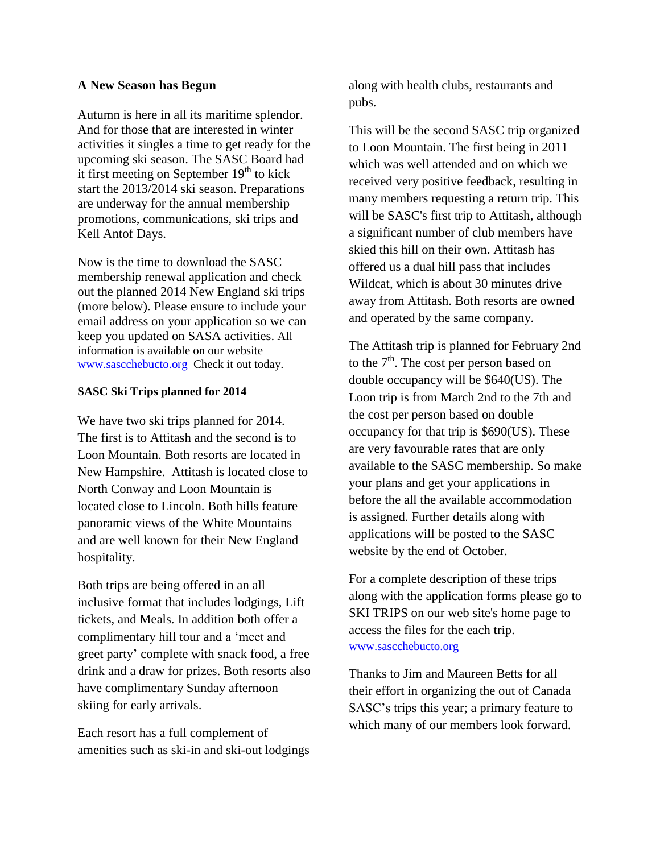## **A New Season has Begun**

Autumn is here in all its maritime splendor. And for those that are interested in winter activities it singles a time to get ready for the upcoming ski season. The SASC Board had it first meeting on September  $19<sup>th</sup>$  to kick start the 2013/2014 ski season. Preparations are underway for the annual membership promotions, communications, ski trips and Kell Antof Days.

Now is the time to download the SASC membership renewal application and check out the planned 2014 New England ski trips (more below). Please ensure to include your email address on your application so we can keep you updated on SASA activities. All information is available on our website [www.sascchebucto.org](http://www.sascchebucto.org/) Check it out today.

## **SASC Ski Trips planned for 2014**

We have two ski trips planned for 2014. The first is to Attitash and the second is to Loon Mountain. Both resorts are located in New Hampshire. Attitash is located close to North Conway and Loon Mountain is located close to Lincoln. Both hills feature panoramic views of the White Mountains and are well known for their New England hospitality.

Both trips are being offered in an all inclusive format that includes lodgings, Lift tickets, and Meals. In addition both offer a complimentary hill tour and a 'meet and greet party' complete with snack food, a free drink and a draw for prizes. Both resorts also have complimentary Sunday afternoon skiing for early arrivals.

Each resort has a full complement of amenities such as ski-in and ski-out lodgings

along with health clubs, restaurants and pubs.

This will be the second SASC trip organized to Loon Mountain. The first being in 2011 which was well attended and on which we received very positive feedback, resulting in many members requesting a return trip. This will be SASC's first trip to Attitash, although a significant number of club members have skied this hill on their own. Attitash has offered us a dual hill pass that includes Wildcat, which is about 30 minutes drive away from Attitash. Both resorts are owned and operated by the same company.

The Attitash trip is planned for February 2nd to the  $7<sup>th</sup>$ . The cost per person based on double occupancy will be \$640(US). The Loon trip is from March 2nd to the 7th and the cost per person based on double occupancy for that trip is \$690(US). These are very favourable rates that are only available to the SASC membership. So make your plans and get your applications in before the all the available accommodation is assigned. Further details along with applications will be posted to the SASC website by the end of October.

For a complete description of these trips along with the application forms please go to SKI TRIPS on our web site's home page to access the files for the each trip. [www.sascchebucto.org](http://www.sascchebucto.org/)

Thanks to Jim and Maureen Betts for all their effort in organizing the out of Canada SASC's trips this year; a primary feature to which many of our members look forward.